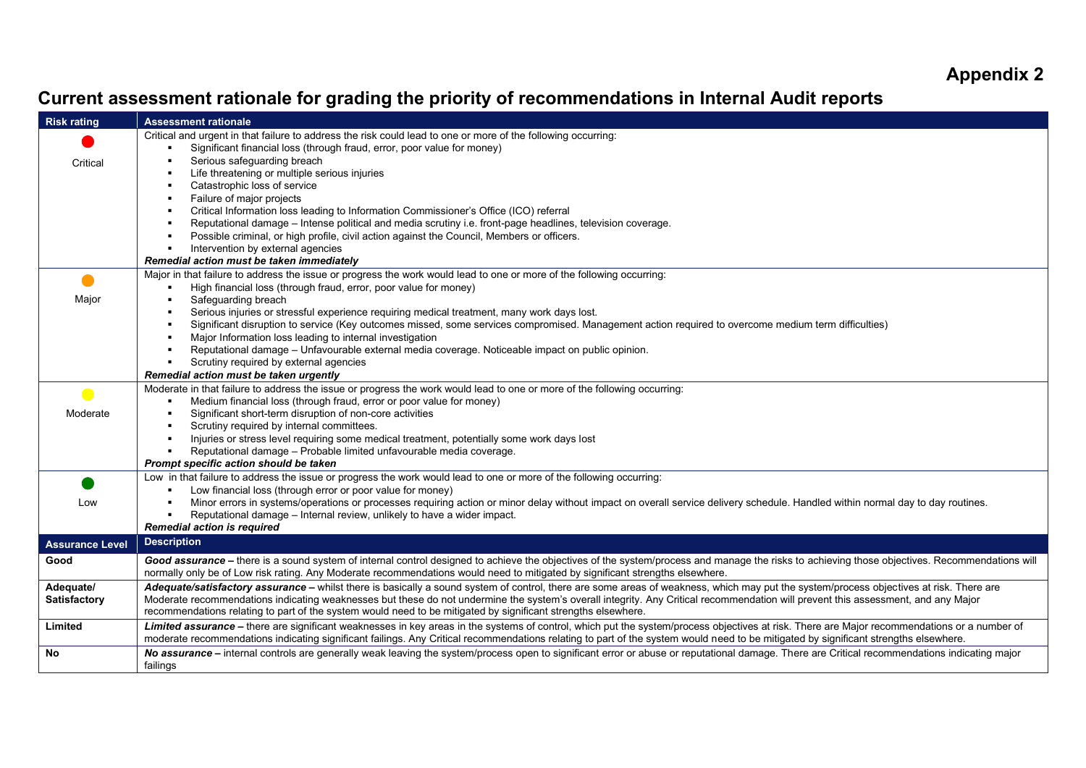## **Appendix 2**

## **Current assessment rationale for grading the priority of recommendations in Internal Audit reports**

| <b>Risk rating</b>     | <b>Assessment rationale</b>                                                                                                                                                                                                                                                                                                                                                          |  |  |  |  |  |  |  |  |  |
|------------------------|--------------------------------------------------------------------------------------------------------------------------------------------------------------------------------------------------------------------------------------------------------------------------------------------------------------------------------------------------------------------------------------|--|--|--|--|--|--|--|--|--|
|                        | Critical and urgent in that failure to address the risk could lead to one or more of the following occurring:                                                                                                                                                                                                                                                                        |  |  |  |  |  |  |  |  |  |
| Critical               | Significant financial loss (through fraud, error, poor value for money)<br>Serious safequarding breach                                                                                                                                                                                                                                                                               |  |  |  |  |  |  |  |  |  |
|                        | Life threatening or multiple serious injuries                                                                                                                                                                                                                                                                                                                                        |  |  |  |  |  |  |  |  |  |
|                        | Catastrophic loss of service                                                                                                                                                                                                                                                                                                                                                         |  |  |  |  |  |  |  |  |  |
|                        | Failure of major projects                                                                                                                                                                                                                                                                                                                                                            |  |  |  |  |  |  |  |  |  |
|                        | Critical Information loss leading to Information Commissioner's Office (ICO) referral                                                                                                                                                                                                                                                                                                |  |  |  |  |  |  |  |  |  |
|                        | Reputational damage - Intense political and media scrutiny i.e. front-page headlines, television coverage.                                                                                                                                                                                                                                                                           |  |  |  |  |  |  |  |  |  |
|                        | Possible criminal, or high profile, civil action against the Council, Members or officers.                                                                                                                                                                                                                                                                                           |  |  |  |  |  |  |  |  |  |
|                        | Intervention by external agencies                                                                                                                                                                                                                                                                                                                                                    |  |  |  |  |  |  |  |  |  |
|                        | Remedial action must be taken immediately                                                                                                                                                                                                                                                                                                                                            |  |  |  |  |  |  |  |  |  |
|                        | Major in that failure to address the issue or progress the work would lead to one or more of the following occurring:                                                                                                                                                                                                                                                                |  |  |  |  |  |  |  |  |  |
|                        | High financial loss (through fraud, error, poor value for money)                                                                                                                                                                                                                                                                                                                     |  |  |  |  |  |  |  |  |  |
| Major                  | Safeguarding breach                                                                                                                                                                                                                                                                                                                                                                  |  |  |  |  |  |  |  |  |  |
|                        | Serious injuries or stressful experience requiring medical treatment, many work days lost.                                                                                                                                                                                                                                                                                           |  |  |  |  |  |  |  |  |  |
|                        | Significant disruption to service (Key outcomes missed, some services compromised. Management action required to overcome medium term difficulties)                                                                                                                                                                                                                                  |  |  |  |  |  |  |  |  |  |
|                        | Major Information loss leading to internal investigation                                                                                                                                                                                                                                                                                                                             |  |  |  |  |  |  |  |  |  |
|                        | Reputational damage - Unfavourable external media coverage. Noticeable impact on public opinion.<br>Scrutiny required by external agencies                                                                                                                                                                                                                                           |  |  |  |  |  |  |  |  |  |
|                        | Remedial action must be taken urgently                                                                                                                                                                                                                                                                                                                                               |  |  |  |  |  |  |  |  |  |
|                        | Moderate in that failure to address the issue or progress the work would lead to one or more of the following occurring:                                                                                                                                                                                                                                                             |  |  |  |  |  |  |  |  |  |
| $\blacksquare$         | Medium financial loss (through fraud, error or poor value for money)                                                                                                                                                                                                                                                                                                                 |  |  |  |  |  |  |  |  |  |
| Moderate               | Significant short-term disruption of non-core activities                                                                                                                                                                                                                                                                                                                             |  |  |  |  |  |  |  |  |  |
|                        | Scrutiny required by internal committees.                                                                                                                                                                                                                                                                                                                                            |  |  |  |  |  |  |  |  |  |
|                        | Injuries or stress level requiring some medical treatment, potentially some work days lost                                                                                                                                                                                                                                                                                           |  |  |  |  |  |  |  |  |  |
|                        | Reputational damage - Probable limited unfavourable media coverage.                                                                                                                                                                                                                                                                                                                  |  |  |  |  |  |  |  |  |  |
|                        | Prompt specific action should be taken                                                                                                                                                                                                                                                                                                                                               |  |  |  |  |  |  |  |  |  |
|                        | Low in that failure to address the issue or progress the work would lead to one or more of the following occurring:                                                                                                                                                                                                                                                                  |  |  |  |  |  |  |  |  |  |
|                        | Low financial loss (through error or poor value for money)                                                                                                                                                                                                                                                                                                                           |  |  |  |  |  |  |  |  |  |
| Low                    | Minor errors in systems/operations or processes requiring action or minor delay without impact on overall service delivery schedule. Handled within normal day to day routines.                                                                                                                                                                                                      |  |  |  |  |  |  |  |  |  |
|                        | Reputational damage - Internal review, unlikely to have a wider impact.                                                                                                                                                                                                                                                                                                              |  |  |  |  |  |  |  |  |  |
|                        | <b>Remedial action is required</b>                                                                                                                                                                                                                                                                                                                                                   |  |  |  |  |  |  |  |  |  |
| <b>Assurance Level</b> | <b>Description</b>                                                                                                                                                                                                                                                                                                                                                                   |  |  |  |  |  |  |  |  |  |
| Good                   | Good assurance - there is a sound system of internal control designed to achieve the objectives of the system/process and manage the risks to achieving those objectives. Recommendations will<br>normally only be of Low risk rating. Any Moderate recommendations would need to mitigated by significant strengths elsewhere.                                                      |  |  |  |  |  |  |  |  |  |
| Adequate/              | Adequate/satisfactory assurance - whilst there is basically a sound system of control, there are some areas of weakness, which may put the system/process objectives at risk. There are                                                                                                                                                                                              |  |  |  |  |  |  |  |  |  |
| <b>Satisfactory</b>    | Moderate recommendations indicating weaknesses but these do not undermine the system's overall integrity. Any Critical recommendation will prevent this assessment, and any Major<br>recommendations relating to part of the system would need to be mitigated by significant strengths elsewhere.                                                                                   |  |  |  |  |  |  |  |  |  |
|                        |                                                                                                                                                                                                                                                                                                                                                                                      |  |  |  |  |  |  |  |  |  |
| Limited                | Limited assurance - there are significant weaknesses in key areas in the systems of control, which put the system/process objectives at risk. There are Major recommendations or a number of<br>moderate recommendations indicating significant failings. Any Critical recommendations relating to part of the system would need to be mitigated by significant strengths elsewhere. |  |  |  |  |  |  |  |  |  |
|                        |                                                                                                                                                                                                                                                                                                                                                                                      |  |  |  |  |  |  |  |  |  |
| No                     | No assurance - internal controls are generally weak leaving the system/process open to significant error or abuse or reputational damage. There are Critical recommendations indicating major                                                                                                                                                                                        |  |  |  |  |  |  |  |  |  |
|                        | failings                                                                                                                                                                                                                                                                                                                                                                             |  |  |  |  |  |  |  |  |  |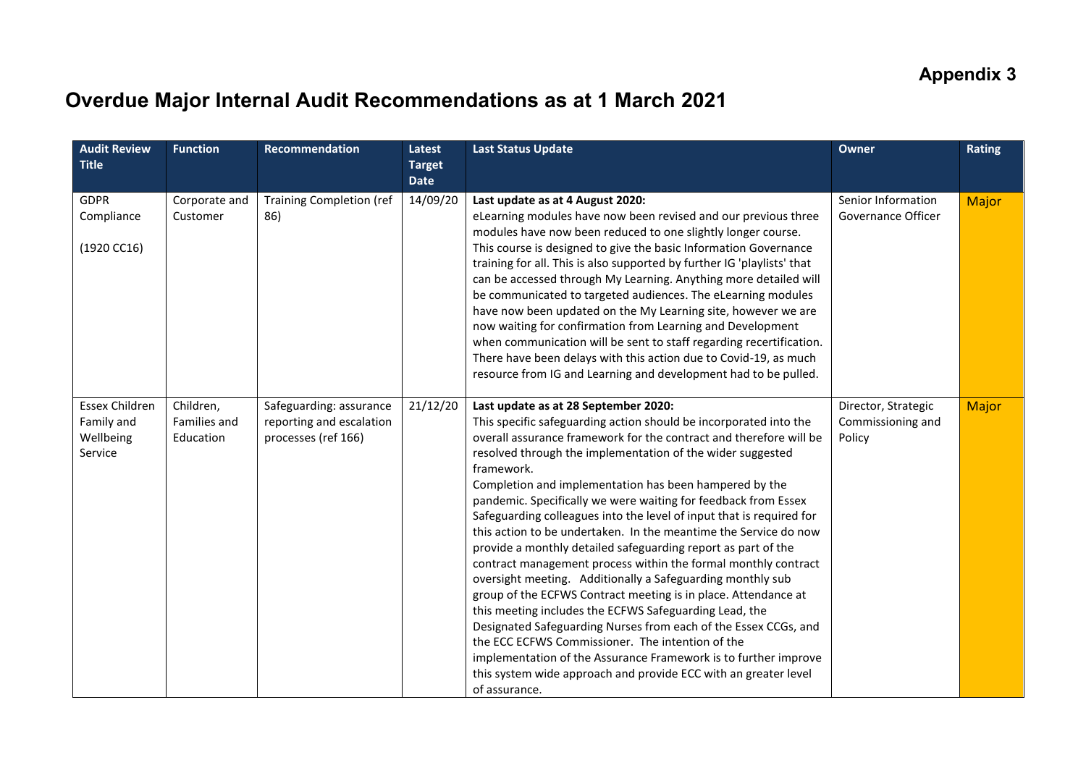## **Overdue Major Internal Audit Recommendations as at 1 March 2021**

| <b>Audit Review</b><br><b>Title</b>                         | <b>Function</b>                        | Recommendation                                                             | Latest<br><b>Target</b><br><b>Date</b> | <b>Last Status Update</b>                                                                                                                                                                                                                                                                                                                                                                                                                                                                                                                                                                                                                                                                                                                                                                                                                                                                                                                                                                                                                                                                                                                      | Owner                                              | <b>Rating</b> |
|-------------------------------------------------------------|----------------------------------------|----------------------------------------------------------------------------|----------------------------------------|------------------------------------------------------------------------------------------------------------------------------------------------------------------------------------------------------------------------------------------------------------------------------------------------------------------------------------------------------------------------------------------------------------------------------------------------------------------------------------------------------------------------------------------------------------------------------------------------------------------------------------------------------------------------------------------------------------------------------------------------------------------------------------------------------------------------------------------------------------------------------------------------------------------------------------------------------------------------------------------------------------------------------------------------------------------------------------------------------------------------------------------------|----------------------------------------------------|---------------|
| <b>GDPR</b><br>Compliance<br>(1920 C C16)                   | Corporate and<br>Customer              | <b>Training Completion (ref</b><br>86)                                     | 14/09/20                               | Last update as at 4 August 2020:<br>eLearning modules have now been revised and our previous three<br>modules have now been reduced to one slightly longer course.<br>This course is designed to give the basic Information Governance<br>training for all. This is also supported by further IG 'playlists' that<br>can be accessed through My Learning. Anything more detailed will<br>be communicated to targeted audiences. The eLearning modules<br>have now been updated on the My Learning site, however we are<br>now waiting for confirmation from Learning and Development<br>when communication will be sent to staff regarding recertification.<br>There have been delays with this action due to Covid-19, as much<br>resource from IG and Learning and development had to be pulled.                                                                                                                                                                                                                                                                                                                                             | Senior Information<br>Governance Officer           | <b>Major</b>  |
| <b>Essex Children</b><br>Family and<br>Wellbeing<br>Service | Children,<br>Families and<br>Education | Safeguarding: assurance<br>reporting and escalation<br>processes (ref 166) | 21/12/20                               | Last update as at 28 September 2020:<br>This specific safeguarding action should be incorporated into the<br>overall assurance framework for the contract and therefore will be<br>resolved through the implementation of the wider suggested<br>framework.<br>Completion and implementation has been hampered by the<br>pandemic. Specifically we were waiting for feedback from Essex<br>Safeguarding colleagues into the level of input that is required for<br>this action to be undertaken. In the meantime the Service do now<br>provide a monthly detailed safeguarding report as part of the<br>contract management process within the formal monthly contract<br>oversight meeting. Additionally a Safeguarding monthly sub<br>group of the ECFWS Contract meeting is in place. Attendance at<br>this meeting includes the ECFWS Safeguarding Lead, the<br>Designated Safeguarding Nurses from each of the Essex CCGs, and<br>the ECC ECFWS Commissioner. The intention of the<br>implementation of the Assurance Framework is to further improve<br>this system wide approach and provide ECC with an greater level<br>of assurance. | Director, Strategic<br>Commissioning and<br>Policy | Major         |